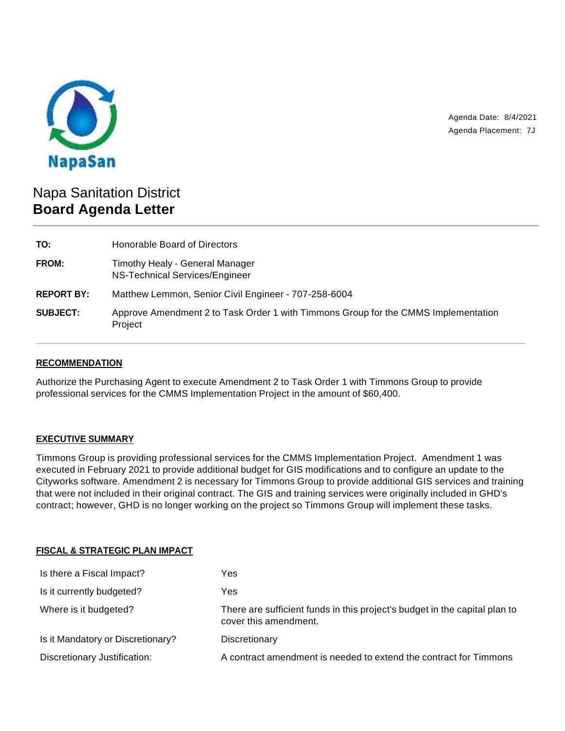

Agenda Date: 8/4/2021 Agenda Placement: 7J

# Napa Sanitation District **Board Agenda Letter**

| TO:               | Honorable Board of Directors                                                                  |
|-------------------|-----------------------------------------------------------------------------------------------|
| FROM:             | Timothy Healy - General Manager<br>NS-Technical Services/Engineer                             |
| <b>REPORT BY:</b> | Matthew Lemmon, Senior Civil Engineer - 707-258-6004                                          |
| <b>SUBJECT:</b>   | Approve Amendment 2 to Task Order 1 with Timmons Group for the CMMS Implementation<br>Project |

## **RECOMMENDATION**

Authorize the Purchasing Agent to execute Amendment 2 to Task Order 1 with Timmons Group to provide professional services for the CMMS Implementation Project in the amount of \$60,400.

### **EXECUTIVE SUMMARY**

Timmons Group is providing professional services for the CMMS Implementation Project. Amendment 1 was executed in February 2021 to provide additional budget for GIS modifications and to configure an update to the Cityworks software. Amendment 2 is necessary for Timmons Group to provide additional GIS services and training that were not included in their original contract. The GIS and training services were originally included in GHD's contract; however, GHD is no longer working on the project so Timmons Group will implement these tasks.

### **FISCAL & STRATEGIC PLAN IMPACT**

| Is there a Fiscal Impact?         | Yes                                                                                                 |
|-----------------------------------|-----------------------------------------------------------------------------------------------------|
| Is it currently budgeted?         | Yes                                                                                                 |
| Where is it budgeted?             | There are sufficient funds in this project's budget in the capital plan to<br>cover this amendment. |
| Is it Mandatory or Discretionary? | Discretionary                                                                                       |
| Discretionary Justification:      | A contract amendment is needed to extend the contract for Timmons                                   |